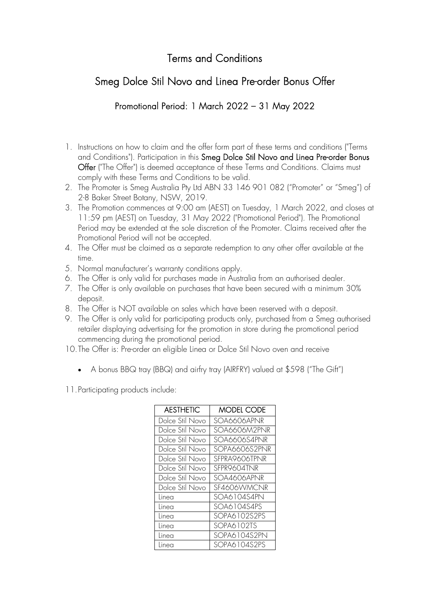## Terms and Conditions

## Smeg Dolce Stil Novo and Linea Pre-order Bonus Offer

## Promotional Period: 1 March 2022 – 31 May 2022

- 1. Instructions on how to claim and the offer form part of these terms and conditions ("Terms and Conditions"). Participation in this Smeg Dolce Stil Novo and Linea Pre-order Bonus Offer ("The Offer") is deemed acceptance of these Terms and Conditions. Claims must comply with these Terms and Conditions to be valid.
- 2. The Promoter is Smeg Australia Pty Ltd ABN 33 146 901 082 ("Promoter" or "Smeg") of 2-8 Baker Street Botany, NSW, 2019.
- 3. The Promotion commences at 9:00 am (AEST) on Tuesday, 1 March 2022, and closes at 11:59 pm (AEST) on Tuesday, 31 May 2022 ("Promotional Period"). The Promotional Period may be extended at the sole discretion of the Promoter. Claims received after the Promotional Period will not be accepted.
- 4. The Offer must be claimed as a separate redemption to any other offer available at the time.
- 5. Normal manufacturer's warranty conditions apply.
- 6. The Offer is only valid for purchases made in Australia from an authorised dealer.
- 7. The Offer is only available on purchases that have been secured with a minimum 30% deposit.
- 8. The Offer is NOT available on sales which have been reserved with a deposit.
- 9. The Offer is only valid for participating products only, purchased from a Smeg authorised retailer displaying advertising for the promotion in store during the promotional period commencing during the promotional period.
- 10.The Offer is: Pre-order an eligible Linea or Dolce Stil Novo oven and receive
	- A bonus BBQ tray (BBQ) and airfry tray (AIRFRY) valued at \$598 ("The Gift")

11.Participating products include:

| <b>AESTHETIC</b> | <b>MODEL CODE</b> |
|------------------|-------------------|
| Dolce Stil Novo  | SOA6606APNR       |
| Dolce Stil Novo  | SOA6606M2PNR      |
| Dolce Stil Novo  | SOA6606S4PNR      |
| Dolce Stil Novo  | SOPA6606S2PNR     |
| Dolce Stil Novo  | SFPRA9606TPNR     |
| Dolce Stil Novo  | SFPR9604TNR       |
| Dolce Stil Novo  | SOA4606APNR       |
| Dolce Stil Novo  | SF4606WMCNR       |
| Linea            | SOA6104S4PN       |
| Linea            | SOA6104S4PS       |
| Linea            | SOPA6102S2PS      |
| Linea            | SOPA6102TS        |
| Linea            | SOPA6104S2PN      |
| linea            | SOPA6104S2PS      |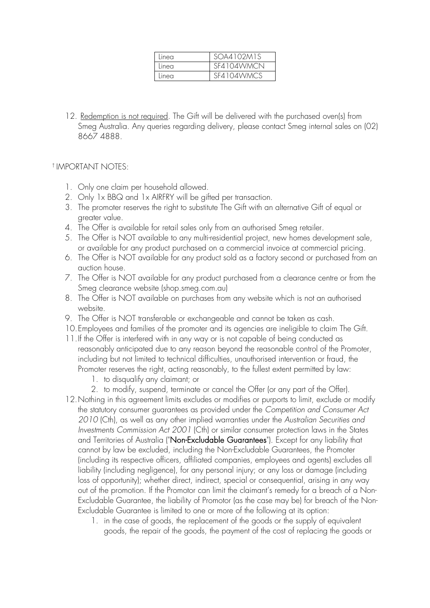| Linea | SOA4102M1S |
|-------|------------|
| Linea | SF4104WMCN |
| Linea | SF4104WMCS |

12. Redemption is not required. The Gift will be delivered with the purchased oven(s) from Smeg Australia. Any queries regarding delivery, please contact Smeg internal sales on (02) 8667 4888.

## † IMPORTANT NOTES:

- 1. Only one claim per household allowed.
- 2. Only 1x BBQ and 1x AIRFRY will be gifted per transaction.
- 3. The promoter reserves the right to substitute The Gift with an alternative Gift of equal or greater value.
- 4. The Offer is available for retail sales only from an authorised Smeg retailer.
- 5. The Offer is NOT available to any multi-residential project, new homes development sale, or available for any product purchased on a commercial invoice at commercial pricing.
- 6. The Offer is NOT available for any product sold as a factory second or purchased from an auction house.
- 7. The Offer is NOT available for any product purchased from a clearance centre or from the Smeg clearance website (shop.smeg.com.au)
- 8. The Offer is NOT available on purchases from any website which is not an authorised website.
- 9. The Offer is NOT transferable or exchangeable and cannot be taken as cash.
- 10.Employees and families of the promoter and its agencies are ineligible to claim The Gift.
- 11.If the Offer is interfered with in any way or is not capable of being conducted as reasonably anticipated due to any reason beyond the reasonable control of the Promoter, including but not limited to technical difficulties, unauthorised intervention or fraud, the Promoter reserves the right, acting reasonably, to the fullest extent permitted by law:
	- 1. to disqualify any claimant; or
	- 2. to modify, suspend, terminate or cancel the Offer (or any part of the Offer).
- 12.Nothing in this agreement limits excludes or modifies or purports to limit, exclude or modify the statutory consumer guarantees as provided under the *Competition and Consumer Act 2010* (Cth), as well as any other implied warranties under the *Australian Securities and Investments Commission Act 2001* (Cth) or similar consumer protection laws in the States and Territories of Australia ("Non-Excludable Guarantees"). Except for any liability that cannot by law be excluded, including the Non-Excludable Guarantees, the Promoter (including its respective officers, affiliated companies, employees and agents) excludes all liability (including negligence), for any personal injury; or any loss or damage (including loss of opportunity); whether direct, indirect, special or consequential, arising in any way out of the promotion. If the Promotor can limit the claimant's remedy for a breach of a Non-Excludable Guarantee, the liability of Promotor (as the case may be) for breach of the Non-Excludable Guarantee is limited to one or more of the following at its option:
	- 1. in the case of goods, the replacement of the goods or the supply of equivalent goods, the repair of the goods, the payment of the cost of replacing the goods or